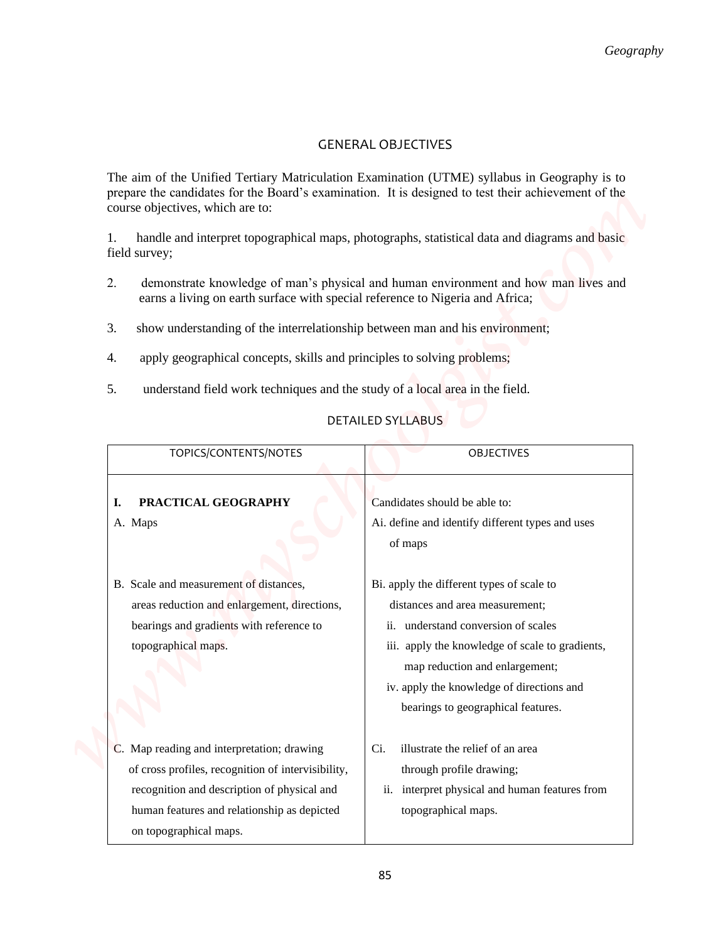## GENERAL OBJECTIVES

- 2. demonstrate knowledge of man's physical and human environment and how man lives and earns a living on earth surface with special reference to Nigeria and Africa;
- 3. show understanding of the interrelationship between man and his environment;
- 4. apply geographical concepts, skills and principles to solving problems;
- 5. understand field work techniques and the study of a local area in the field.

## DETAILED SYLLABUS

|                                                                                     | Geography                                                                                                                                                                                           |
|-------------------------------------------------------------------------------------|-----------------------------------------------------------------------------------------------------------------------------------------------------------------------------------------------------|
|                                                                                     |                                                                                                                                                                                                     |
|                                                                                     | <b>GENERAL OBJECTIVES</b>                                                                                                                                                                           |
| course objectives, which are to:                                                    | The aim of the Unified Tertiary Matriculation Examination (UTME) syllabus in Geography is to<br>prepare the candidates for the Board's examination. It is designed to test their achievement of the |
| 1.<br>field survey;                                                                 | handle and interpret topographical maps, photographs, statistical data and diagrams and basic                                                                                                       |
| 2.<br>earns a living on earth surface with special reference to Nigeria and Africa; | demonstrate knowledge of man's physical and human environment and how man lives and                                                                                                                 |
| 3.<br>show understanding of the interrelationship between man and his environment;  |                                                                                                                                                                                                     |
| apply geographical concepts, skills and principles to solving problems;<br>4.       |                                                                                                                                                                                                     |
| 5.<br>understand field work techniques and the study of a local area in the field.  |                                                                                                                                                                                                     |
|                                                                                     | <b>DETAILED SYLLABUS</b>                                                                                                                                                                            |
| TOPICS/CONTENTS/NOTES                                                               | <b>OBJECTIVES</b>                                                                                                                                                                                   |
| PRACTICAL GEOGRAPHY<br>ı.                                                           | Candidates should be able to:                                                                                                                                                                       |
| A. Maps                                                                             | Ai. define and identify different types and uses<br>of maps                                                                                                                                         |
| B. Scale and measurement of distances,                                              | Bi. apply the different types of scale to                                                                                                                                                           |
| areas reduction and enlargement, directions,                                        | distances and area measurement;                                                                                                                                                                     |
| bearings and gradients with reference to                                            | ii. understand conversion of scales                                                                                                                                                                 |
| topographical maps.                                                                 | iii. apply the knowledge of scale to gradients,                                                                                                                                                     |
|                                                                                     | map reduction and enlargement;                                                                                                                                                                      |
|                                                                                     | iv. apply the knowledge of directions and                                                                                                                                                           |
|                                                                                     | bearings to geographical features.                                                                                                                                                                  |
| C. Map reading and interpretation; drawing                                          | illustrate the relief of an area<br>Ci.                                                                                                                                                             |
| of cross profiles, recognition of intervisibility,                                  | through profile drawing;                                                                                                                                                                            |
|                                                                                     |                                                                                                                                                                                                     |
| recognition and description of physical and                                         | interpret physical and human features from<br>$\overline{\mathbf{11}}$ .                                                                                                                            |
| human features and relationship as depicted                                         | topographical maps.                                                                                                                                                                                 |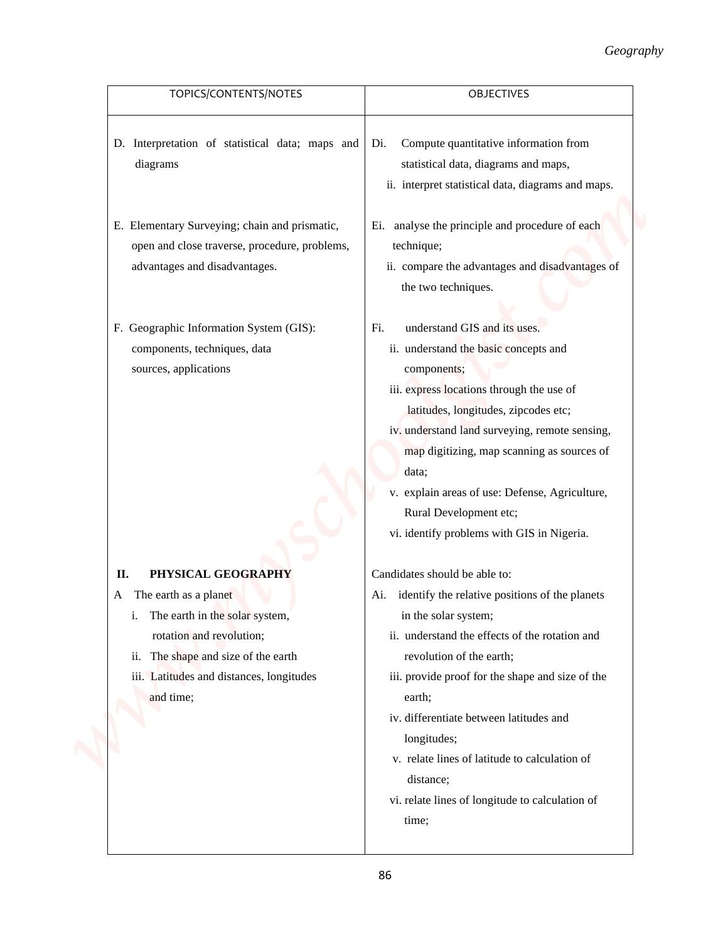| TOPICS/CONTENTS/NOTES                                              | OBJECTIVES                                                               |
|--------------------------------------------------------------------|--------------------------------------------------------------------------|
| D. Interpretation of statistical data; maps and                    | Compute quantitative information from<br>Di.                             |
| diagrams                                                           | statistical data, diagrams and maps,                                     |
|                                                                    | ii. interpret statistical data, diagrams and maps.                       |
| E. Elementary Surveying; chain and prismatic,                      | Ei. analyse the principle and procedure of each                          |
| open and close traverse, procedure, problems,                      | technique;                                                               |
| advantages and disadvantages.                                      | ii. compare the advantages and disadvantages of                          |
|                                                                    | the two techniques.                                                      |
| F. Geographic Information System (GIS):                            | understand GIS and its uses.<br>Fi.                                      |
| components, techniques, data                                       | ii. understand the basic concepts and                                    |
| sources, applications                                              | components;                                                              |
|                                                                    | iii. express locations through the use of                                |
|                                                                    | latitudes, longitudes, zipcodes etc;                                     |
|                                                                    | iv. understand land surveying, remote sensing,                           |
|                                                                    | map digitizing, map scanning as sources of                               |
|                                                                    | data;                                                                    |
|                                                                    | v. explain areas of use: Defense, Agriculture,<br>Rural Development etc; |
|                                                                    | vi. identify problems with GIS in Nigeria.                               |
|                                                                    |                                                                          |
| PHYSICAL GEOGRAPHY<br>П.                                           | Candidates should be able to:                                            |
| The earth as a planet<br>A                                         | identify the relative positions of the planets<br>Ai.                    |
| The earth in the solar system,<br>i.                               | in the solar system;<br>ii. understand the effects of the rotation and   |
| rotation and revolution;<br>The shape and size of the earth<br>ii. | revolution of the earth;                                                 |
| iii. Latitudes and distances, longitudes                           | iii. provide proof for the shape and size of the                         |
| and time;                                                          | earth;                                                                   |
|                                                                    | iv. differentiate between latitudes and                                  |
|                                                                    | longitudes;                                                              |
|                                                                    | v. relate lines of latitude to calculation of                            |
|                                                                    | distance;                                                                |
|                                                                    | vi. relate lines of longitude to calculation of                          |
|                                                                    | time;                                                                    |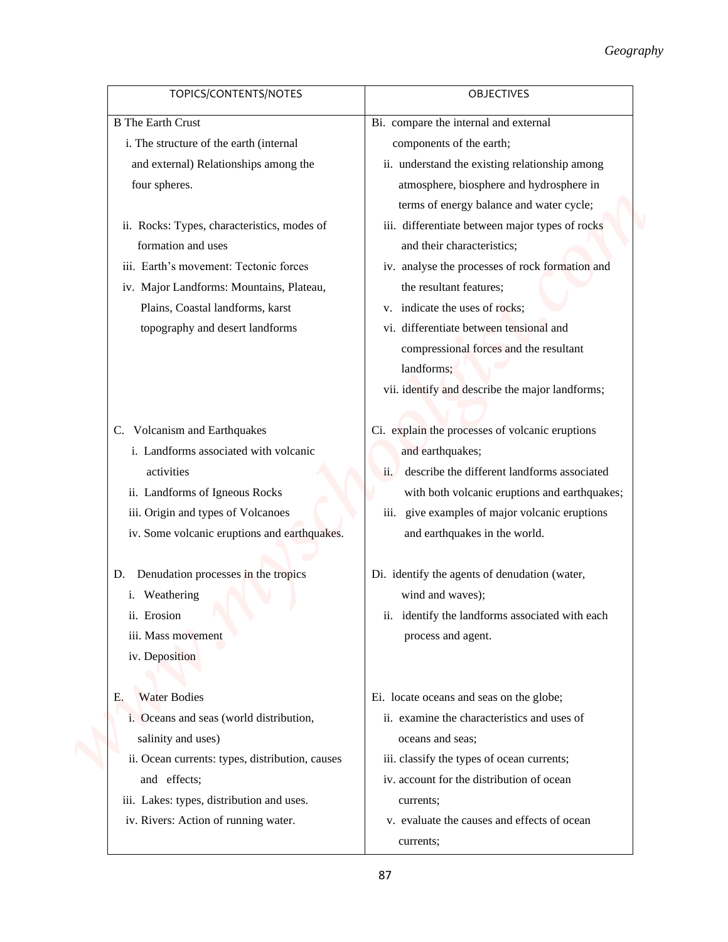|                                                 | Geography                                                                 |
|-------------------------------------------------|---------------------------------------------------------------------------|
| TOPICS/CONTENTS/NOTES                           | <b>OBJECTIVES</b>                                                         |
| <b>B</b> The Earth Crust                        | Bi. compare the internal and external                                     |
| i. The structure of the earth (internal         | components of the earth;                                                  |
| and external) Relationships among the           | ii. understand the existing relationship among                            |
| four spheres.                                   | atmosphere, biosphere and hydrosphere in                                  |
|                                                 | terms of energy balance and water cycle;                                  |
| ii. Rocks: Types, characteristics, modes of     | iii. differentiate between major types of rocks                           |
| formation and uses                              | and their characteristics;                                                |
| iii. Earth's movement: Tectonic forces          | iv. analyse the processes of rock formation and                           |
| iv. Major Landforms: Mountains, Plateau,        | the resultant features;                                                   |
| Plains, Coastal landforms, karst                | v. indicate the uses of rocks;                                            |
| topography and desert landforms                 | vi. differentiate between tensional and                                   |
|                                                 | compressional forces and the resultant                                    |
|                                                 | landforms;                                                                |
|                                                 | vii. identify and describe the major landforms;                           |
| C. Volcanism and Earthquakes                    | Ci. explain the processes of volcanic eruptions                           |
| i. Landforms associated with volcanic           | and earthquakes;                                                          |
| activities                                      | describe the different landforms associated<br>ii.                        |
| ii. Landforms of Igneous Rocks                  | with both volcanic eruptions and earthquakes;                             |
| iii. Origin and types of Volcanoes              | iii. give examples of major volcanic eruptions                            |
| iv. Some volcanic eruptions and earthquakes.    | and earthquakes in the world.                                             |
| D. Denudation processes in the tropics          | Di. identify the agents of denudation (water,                             |
| i. Weathering                                   | wind and waves);                                                          |
| ii. Erosion                                     | identify the landforms associated with each<br>$\overline{\mathbf{11}}$ . |
| iii. Mass movement                              | process and agent.                                                        |
| iv. Deposition                                  |                                                                           |
|                                                 |                                                                           |
| <b>Water Bodies</b><br>Е.                       | Ei. locate oceans and seas on the globe;                                  |
| i. Oceans and seas (world distribution,         | ii. examine the characteristics and uses of                               |
| salinity and uses)                              | oceans and seas;                                                          |
| ii. Ocean currents: types, distribution, causes | iii. classify the types of ocean currents;                                |
| and effects;                                    | iv. account for the distribution of ocean                                 |
| iii. Lakes: types, distribution and uses.       | currents;                                                                 |
| iv. Rivers: Action of running water.            | v. evaluate the causes and effects of ocean                               |
|                                                 | currents;                                                                 |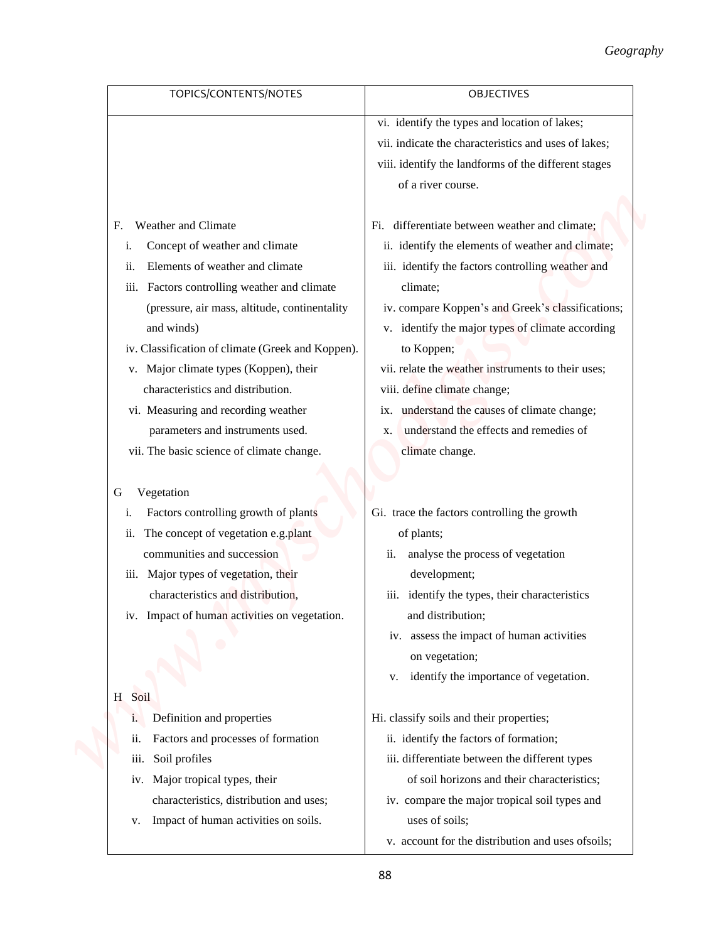|                                                   | Geography                                            |
|---------------------------------------------------|------------------------------------------------------|
| TOPICS/CONTENTS/NOTES                             | <b>OBJECTIVES</b>                                    |
|                                                   | vi. identify the types and location of lakes;        |
|                                                   | vii. indicate the characteristics and uses of lakes; |
|                                                   | viii. identify the landforms of the different stages |
|                                                   | of a river course.                                   |
| Weather and Climate<br>F.                         | Fi. differentiate between weather and climate;       |
| Concept of weather and climate<br>1.              | ii. identify the elements of weather and climate;    |
| Elements of weather and climate<br>ii.            | iii. identify the factors controlling weather and    |
| Factors controlling weather and climate<br>iii.   | climate;                                             |
| (pressure, air mass, altitude, continentality     | iv. compare Koppen's and Greek's classifications;    |
| and winds)                                        | v. identify the major types of climate according     |
| iv. Classification of climate (Greek and Koppen). | to Koppen;                                           |
| v. Major climate types (Koppen), their            | vii. relate the weather instruments to their uses;   |
| characteristics and distribution.                 | viii. define climate change;                         |
| vi. Measuring and recording weather               | ix. understand the causes of climate change;         |
| parameters and instruments used.                  | understand the effects and remedies of<br>X.         |
| vii. The basic science of climate change.         | climate change.                                      |
|                                                   |                                                      |
| Vegetation<br>G                                   |                                                      |
| Factors controlling growth of plants<br>i.        | Gi. trace the factors controlling the growth         |
| The concept of vegetation e.g.plant<br>ii.        | of plants;                                           |
| communities and succession                        | analyse the process of vegetation<br>11.             |
| iii. Major types of vegetation, their             | development;                                         |
| characteristics and distribution,                 | identify the types, their characteristics<br>iii.    |
| iv. Impact of human activities on vegetation.     | and distribution;                                    |
|                                                   | iv. assess the impact of human activities            |
|                                                   | on vegetation;                                       |
|                                                   | identify the importance of vegetation.<br>V.         |
| H Soil                                            |                                                      |
| Definition and properties<br>1.                   | Hi. classify soils and their properties;             |
| Factors and processes of formation<br>11.         | ii. identify the factors of formation;               |
| Soil profiles<br>iii.                             | iii. differentiate between the different types       |
| iv. Major tropical types, their                   | of soil horizons and their characteristics;          |
| characteristics, distribution and uses;           | iv. compare the major tropical soil types and        |
| Impact of human activities on soils.<br>V.        | uses of soils;                                       |
|                                                   | v. account for the distribution and uses of soils;   |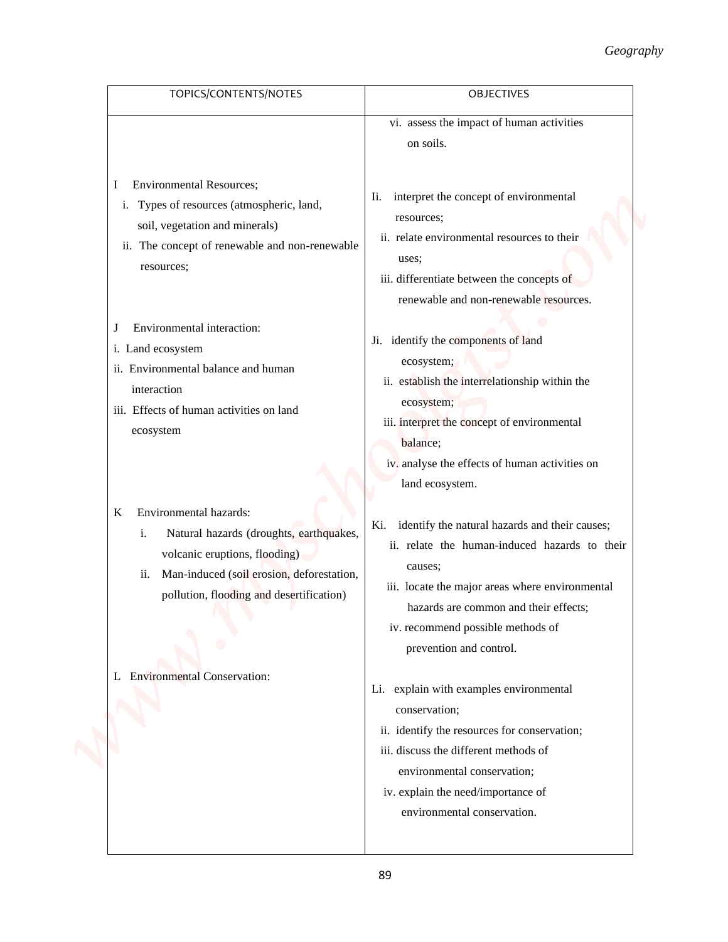|                                                                                                                                                                                                               | Geography                                                                                                                                                                                                                                                                  |
|---------------------------------------------------------------------------------------------------------------------------------------------------------------------------------------------------------------|----------------------------------------------------------------------------------------------------------------------------------------------------------------------------------------------------------------------------------------------------------------------------|
| TOPICS/CONTENTS/NOTES                                                                                                                                                                                         | <b>OBJECTIVES</b>                                                                                                                                                                                                                                                          |
|                                                                                                                                                                                                               | vi. assess the impact of human activities<br>on soils.                                                                                                                                                                                                                     |
| <b>Environmental Resources;</b><br>I<br>i. Types of resources (atmospheric, land,<br>soil, vegetation and minerals)<br>ii. The concept of renewable and non-renewable<br>resources;                           | interpret the concept of environmental<br>Ii.<br>resources;<br>ii. relate environmental resources to their<br>uses;<br>iii. differentiate between the concepts of<br>renewable and non-renewable resources.                                                                |
| Environmental interaction:<br>J<br>i. Land ecosystem<br>ii. Environmental balance and human<br>interaction<br>iii. Effects of human activities on land<br>ecosystem                                           | Ji. identify the components of land<br>ecosystem;<br>ii. establish the interrelationship within the<br>ecosystem;<br>iii. interpret the concept of environmental<br>balance;<br>iv. analyse the effects of human activities on<br>land ecosystem.                          |
| Environmental hazards:<br>K<br>Natural hazards (droughts, earthquakes,<br>i.<br>volcanic eruptions, flooding)<br>Man-induced (soil erosion, deforestation,<br>11.<br>pollution, flooding and desertification) | Ki. identify the natural hazards and their causes;<br>ii. relate the human-induced hazards to their<br>causes;<br>iii. locate the major areas where environmental<br>hazards are common and their effects;<br>iv. recommend possible methods of<br>prevention and control. |
| L Environmental Conservation:                                                                                                                                                                                 | Li. explain with examples environmental<br>conservation;<br>ii. identify the resources for conservation;<br>iii. discuss the different methods of<br>environmental conservation;<br>iv. explain the need/importance of<br>environmental conservation.                      |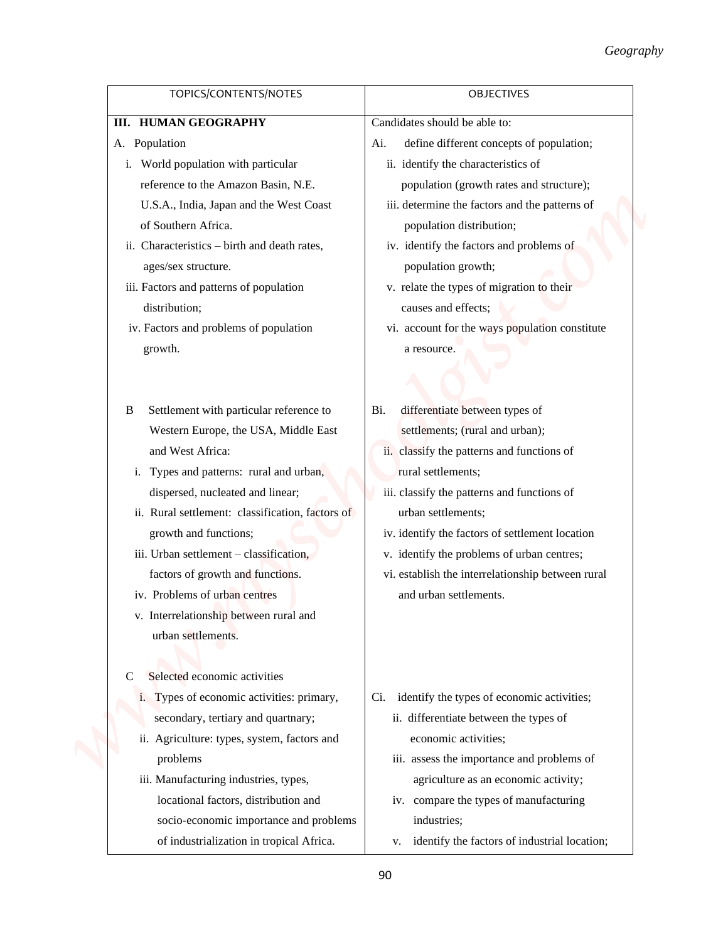|                                                          | Geography                                          |
|----------------------------------------------------------|----------------------------------------------------|
| TOPICS/CONTENTS/NOTES                                    | <b>OBJECTIVES</b>                                  |
| <b>III. HUMAN GEOGRAPHY</b>                              | Candidates should be able to:                      |
| A. Population                                            | define different concepts of population;<br>Ai.    |
| i. World population with particular                      | ii. identify the characteristics of                |
| reference to the Amazon Basin, N.E.                      | population (growth rates and structure);           |
| U.S.A., India, Japan and the West Coast                  | iii. determine the factors and the patterns of     |
| of Southern Africa.                                      | population distribution;                           |
| ii. Characteristics - birth and death rates,             | iv. identify the factors and problems of           |
| ages/sex structure.                                      | population growth;                                 |
| iii. Factors and patterns of population                  | v. relate the types of migration to their          |
| distribution;                                            | causes and effects;                                |
| iv. Factors and problems of population                   | vi. account for the ways population constitute     |
| growth.                                                  | a resource.                                        |
|                                                          |                                                    |
|                                                          |                                                    |
| Settlement with particular reference to<br>B             | differentiate between types of<br>Bi.              |
| Western Europe, the USA, Middle East                     | settlements; (rural and urban);                    |
| and West Africa:                                         | ii. classify the patterns and functions of         |
| Types and patterns: rural and urban,<br>1.               | rural settlements;                                 |
| dispersed, nucleated and linear;                         | iii. classify the patterns and functions of        |
| ii. Rural settlement: classification, factors of         | urban settlements;                                 |
| growth and functions;                                    | iv. identify the factors of settlement location    |
| iii. Urban settlement – classification,                  | v. identify the problems of urban centres;         |
| factors of growth and functions.                         | vi. establish the interrelationship between rural  |
| iv. Problems of urban centres                            | and urban settlements.                             |
| v. Interrelationship between rural and                   |                                                    |
| urban settlements.                                       |                                                    |
|                                                          |                                                    |
| Selected economic activities<br>C                        |                                                    |
| Types of economic activities: primary,<br>$\mathbf{1}$ . | identify the types of economic activities;<br>Ci.  |
| secondary, tertiary and quartnary;                       | ii. differentiate between the types of             |
| Agriculture: types, system, factors and<br>ii.           | economic activities;                               |
| problems                                                 | iii. assess the importance and problems of         |
| iii. Manufacturing industries, types,                    | agriculture as an economic activity;               |
| locational factors, distribution and                     | iv. compare the types of manufacturing             |
| socio-economic importance and problems                   | industries;                                        |
| of industrialization in tropical Africa.                 | identify the factors of industrial location;<br>v. |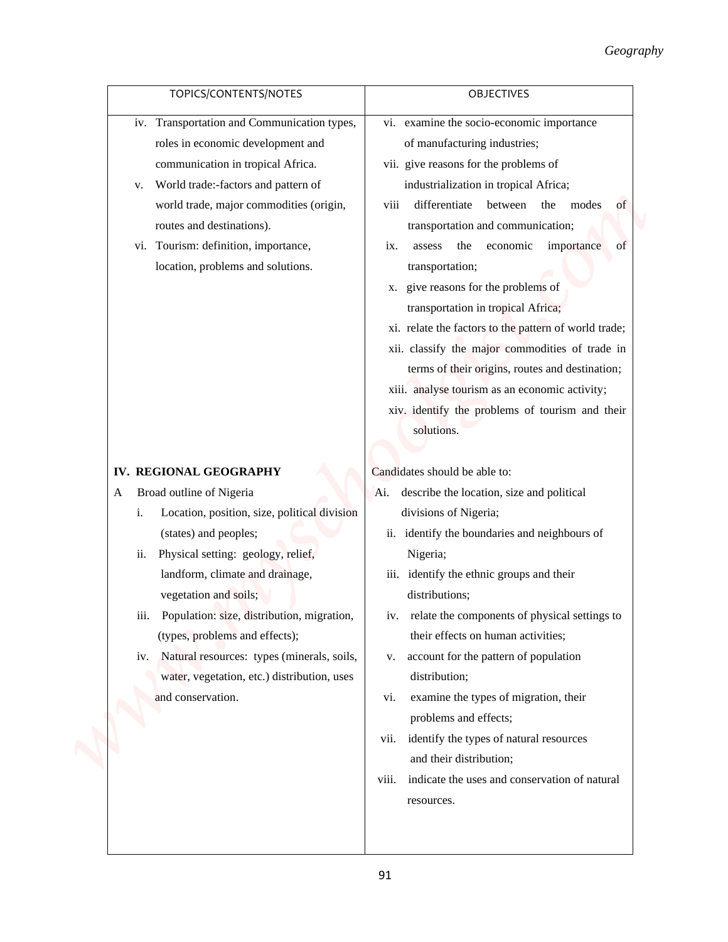|                                                                                                                                                                                                                                                                                                                                                                                                                                                                      | Geography                                                                                                                                                                                                                                                                                                                                                                                                                                                                                                                                                                                                                                                                                         |
|----------------------------------------------------------------------------------------------------------------------------------------------------------------------------------------------------------------------------------------------------------------------------------------------------------------------------------------------------------------------------------------------------------------------------------------------------------------------|---------------------------------------------------------------------------------------------------------------------------------------------------------------------------------------------------------------------------------------------------------------------------------------------------------------------------------------------------------------------------------------------------------------------------------------------------------------------------------------------------------------------------------------------------------------------------------------------------------------------------------------------------------------------------------------------------|
| TOPICS/CONTENTS/NOTES                                                                                                                                                                                                                                                                                                                                                                                                                                                | OBJECTIVES                                                                                                                                                                                                                                                                                                                                                                                                                                                                                                                                                                                                                                                                                        |
| iv. Transportation and Communication types,<br>roles in economic development and<br>communication in tropical Africa.<br>World trade:-factors and pattern of<br>v.<br>world trade, major commodities (origin,<br>routes and destinations).<br>vi. Tourism: definition, importance,<br>location, problems and solutions.                                                                                                                                              | vi. examine the socio-economic importance<br>of manufacturing industries;<br>vii. give reasons for the problems of<br>industrialization in tropical Africa;<br>differentiate<br>viii<br>between the modes<br>of<br>transportation and communication;<br>economic<br>importance<br>the<br>of<br>assess<br>1X.<br>transportation;<br>give reasons for the problems of<br>Х.<br>transportation in tropical Africa;<br>xi. relate the factors to the pattern of world trade;<br>xii. classify the major commodities of trade in<br>terms of their origins, routes and destination;<br>xiii. analyse tourism as an economic activity;<br>xiv. identify the problems of tourism and their<br>solutions. |
|                                                                                                                                                                                                                                                                                                                                                                                                                                                                      |                                                                                                                                                                                                                                                                                                                                                                                                                                                                                                                                                                                                                                                                                                   |
| IV. REGIONAL GEOGRAPHY<br>Broad outline of Nigeria<br>A<br>Location, position, size, political division<br>i.<br>(states) and peoples;<br>Physical setting: geology, relief,<br>ii.<br>landform, climate and drainage,<br>vegetation and soils;<br>Population: size, distribution, migration,<br><i>iii.</i><br>(types, problems and effects);<br>iv. Natural resources: types (minerals, soils,<br>water, vegetation, etc.) distribution, uses<br>and conservation. | Candidates should be able to:<br>Ai. describe the location, size and political<br>divisions of Nigeria;<br>ii. identify the boundaries and neighbours of<br>Nigeria;<br>identify the ethnic groups and their<br>111.<br>distributions;<br>relate the components of physical settings to<br>iv.<br>their effects on human activities;<br>account for the pattern of population<br>V.<br>distribution;<br>examine the types of migration, their<br>vi.<br>problems and effects;<br>identify the types of natural resources<br>V11.<br>and their distribution;<br>indicate the uses and conservation of natural<br>viii.<br>resources.                                                               |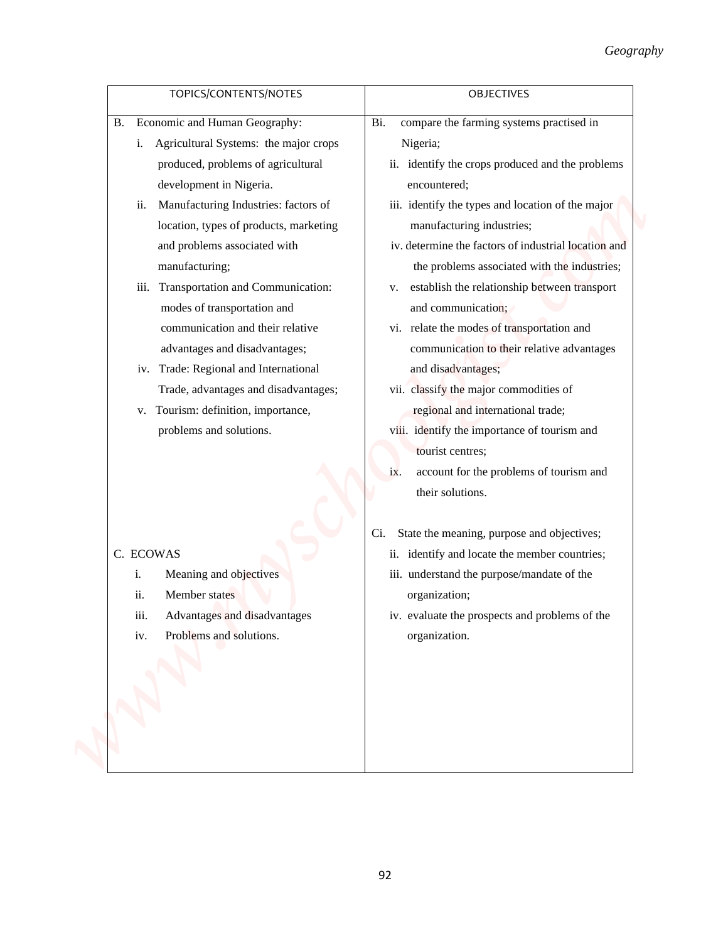| TOPICS/CONTENTS/NOTES                                                                                                                                                                                                                                                                                                                                                                                                                                                                                                                                                                                          | <b>OBJECTIVES</b>                                                                                                                                                                                                                                                                                                                                                                                                                                                                                                                                                                                                                                                                                                                                |
|----------------------------------------------------------------------------------------------------------------------------------------------------------------------------------------------------------------------------------------------------------------------------------------------------------------------------------------------------------------------------------------------------------------------------------------------------------------------------------------------------------------------------------------------------------------------------------------------------------------|--------------------------------------------------------------------------------------------------------------------------------------------------------------------------------------------------------------------------------------------------------------------------------------------------------------------------------------------------------------------------------------------------------------------------------------------------------------------------------------------------------------------------------------------------------------------------------------------------------------------------------------------------------------------------------------------------------------------------------------------------|
| Economic and Human Geography:<br>B.<br>Agricultural Systems: the major crops<br>$\mathbf{i}$ .<br>produced, problems of agricultural<br>development in Nigeria.<br>Manufacturing Industries: factors of<br>ii.<br>location, types of products, marketing<br>and problems associated with<br>manufacturing;<br>Transportation and Communication:<br>iii.<br>modes of transportation and<br>communication and their relative<br>advantages and disadvantages;<br>iv. Trade: Regional and International<br>Trade, advantages and disadvantages;<br>v. Tourism: definition, importance,<br>problems and solutions. | compare the farming systems practised in<br>Bi.<br>Nigeria;<br>ii. identify the crops produced and the problems<br>encountered;<br>iii. identify the types and location of the major<br>manufacturing industries;<br>iv. determine the factors of industrial location and<br>the problems associated with the industries;<br>establish the relationship between transport<br>V.<br>and communication;<br>vi. relate the modes of transportation and<br>communication to their relative advantages<br>and disadvantages;<br>vii. classify the major commodities of<br>regional and international trade;<br>viii. identify the importance of tourism and<br>tourist centres;<br>account for the problems of tourism and<br>ix.<br>their solutions. |
| C. ECOWAS<br>Meaning and objectives<br>i.<br>Member states<br>ii.<br>iii.<br>Advantages and disadvantages<br>Problems and solutions.<br>iv.                                                                                                                                                                                                                                                                                                                                                                                                                                                                    | State the meaning, purpose and objectives;<br>Ci.<br>ii. identify and locate the member countries;<br>iii. understand the purpose/mandate of the<br>organization;<br>iv. evaluate the prospects and problems of the<br>organization.                                                                                                                                                                                                                                                                                                                                                                                                                                                                                                             |